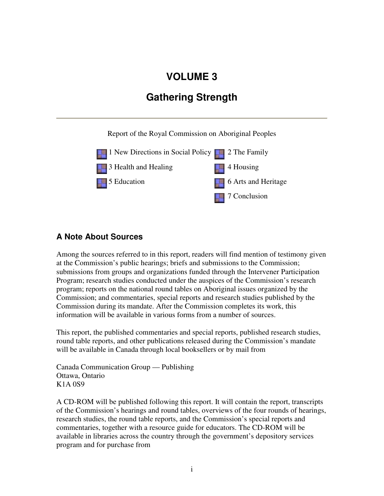## **VOLUME 3**

## **Gathering Strength**

Report of the Royal Commission on Aboriginal Peoples



## **A Note About Sources**

Among the sources referred to in this report, readers will find mention of testimony given at the Commission's public hearings; briefs and submissions to the Commission; submissions from groups and organizations funded through the Intervener Participation Program; research studies conducted under the auspices of the Commission's research program; reports on the national round tables on Aboriginal issues organized by the Commission; and commentaries, special reports and research studies published by the Commission during its mandate. After the Commission completes its work, this information will be available in various forms from a number of sources.

This report, the published commentaries and special reports, published research studies, round table reports, and other publications released during the Commission's mandate will be available in Canada through local booksellers or by mail from

Canada Communication Group — Publishing Ottawa, Ontario K1A 0S9

A CD-ROM will be published following this report. It will contain the report, transcripts of the Commission's hearings and round tables, overviews of the four rounds of hearings, research studies, the round table reports, and the Commission's special reports and commentaries, together with a resource guide for educators. The CD-ROM will be available in libraries across the country through the government's depository services program and for purchase from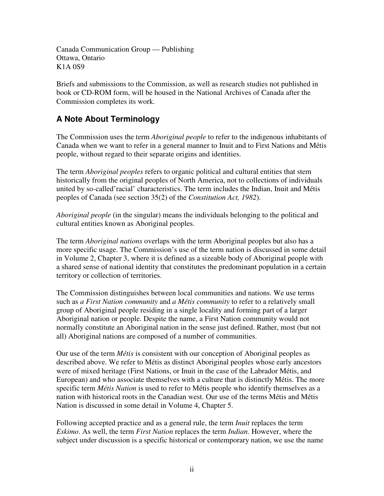Canada Communication Group — Publishing Ottawa, Ontario K1A 0S9

Briefs and submissions to the Commission, as well as research studies not published in book or CD-ROM form, will be housed in the National Archives of Canada after the Commission completes its work.

## **A Note About Terminology**

The Commission uses the term *Aboriginal people* to refer to the indigenous inhabitants of Canada when we want to refer in a general manner to Inuit and to First Nations and Métis people, without regard to their separate origins and identities.

The term *Aboriginal peoples* refers to organic political and cultural entities that stem historically from the original peoples of North America, not to collections of individuals united by so-called'racial' characteristics. The term includes the Indian, Inuit and Métis peoples of Canada (see section 35(2) of the *Constitution Act, 1982*).

*Aboriginal people* (in the singular) means the individuals belonging to the political and cultural entities known as Aboriginal peoples.

The term *Aboriginal nations* overlaps with the term Aboriginal peoples but also has a more specific usage. The Commission's use of the term nation is discussed in some detail in Volume 2, Chapter 3, where it is defined as a sizeable body of Aboriginal people with a shared sense of national identity that constitutes the predominant population in a certain territory or collection of territories.

The Commission distinguishes between local communities and nations. We use terms such as *a First Nation community* and *a Métis community* to refer to a relatively small group of Aboriginal people residing in a single locality and forming part of a larger Aboriginal nation or people. Despite the name, a First Nation community would not normally constitute an Aboriginal nation in the sense just defined. Rather, most (but not all) Aboriginal nations are composed of a number of communities.

Our use of the term *Métis* is consistent with our conception of Aboriginal peoples as described above. We refer to Métis as distinct Aboriginal peoples whose early ancestors were of mixed heritage (First Nations, or Inuit in the case of the Labrador Métis, and European) and who associate themselves with a culture that is distinctly Métis. The more specific term *Métis Nation* is used to refer to Métis people who identify themselves as a nation with historical roots in the Canadian west. Our use of the terms Métis and Métis Nation is discussed in some detail in Volume 4, Chapter 5.

Following accepted practice and as a general rule, the term *Inuit* replaces the term *Eskimo*. As well, the term *First Nation* replaces the term *Indian*. However, where the subject under discussion is a specific historical or contemporary nation, we use the name